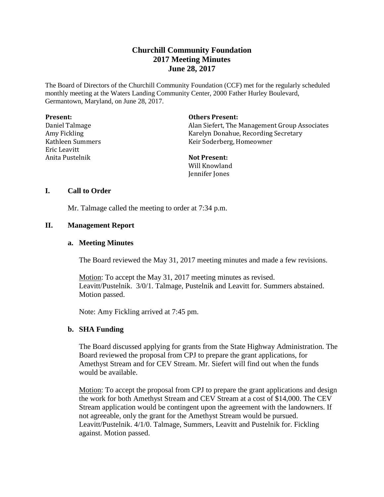# **Churchill Community Foundation 2017 Meeting Minutes June 28, 2017**

The Board of Directors of the Churchill Community Foundation (CCF) met for the regularly scheduled monthly meeting at the Waters Landing Community Center, 2000 Father Hurley Boulevard, Germantown, Maryland, on June 28, 2017.

| Present: |
|----------|
|----------|

Daniel Talmage Amy Fickling Kathleen Summers Eric Leavitt Anita Pustelnik

**Others Present:**

Alan Siefert, The Management Group Associates Karelyn Donahue, Recording Secretary Keir Soderberg, Homeowner

**Not Present:** Will Knowland

Jennifer Jones

## **I. Call to Order**

Mr. Talmage called the meeting to order at 7:34 p.m.

# **II. Management Report**

# **a. Meeting Minutes**

The Board reviewed the May 31, 2017 meeting minutes and made a few revisions.

Motion: To accept the May 31, 2017 meeting minutes as revised. Leavitt/Pustelnik. 3/0/1. Talmage, Pustelnik and Leavitt for. Summers abstained. Motion passed.

Note: Amy Fickling arrived at 7:45 pm.

# **b. SHA Funding**

The Board discussed applying for grants from the State Highway Administration. The Board reviewed the proposal from CPJ to prepare the grant applications, for Amethyst Stream and for CEV Stream. Mr. Siefert will find out when the funds would be available.

Motion: To accept the proposal from CPJ to prepare the grant applications and design the work for both Amethyst Stream and CEV Stream at a cost of \$14,000. The CEV Stream application would be contingent upon the agreement with the landowners. If not agreeable, only the grant for the Amethyst Stream would be pursued. Leavitt/Pustelnik. 4/1/0. Talmage, Summers, Leavitt and Pustelnik for. Fickling against. Motion passed.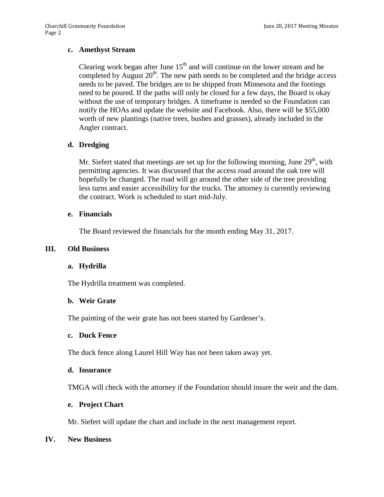## **c. Amethyst Stream**

Clearing work began after June  $15<sup>th</sup>$  and will continue on the lower stream and be completed by August  $20^{th}$ . The new path needs to be completed and the bridge access needs to be paved. The bridges are to be shipped from Minnesota and the footings need to be poured. If the paths will only be closed for a few days, the Board is okay without the use of temporary bridges. A timeframe is needed so the Foundation can notify the HOAs and update the website and Facebook. Also, there will be \$55,000 worth of new plantings (native trees, bushes and grasses), already included in the Angler contract.

## **d. Dredging**

Mr. Siefert stated that meetings are set up for the following morning, June  $29<sup>th</sup>$ , with permitting agencies. It was discussed that the access road around the oak tree will hopefully be changed. The road will go around the other side of the tree providing less turns and easier accessibility for the trucks. The attorney is currently reviewing the contract. Work is scheduled to start mid-July.

## **e. Financials**

The Board reviewed the financials for the month ending May 31, 2017.

## **III. Old Business**

#### **a. Hydrilla**

The Hydrilla treatment was completed.

#### **b. Weir Grate**

The painting of the weir grate has not been started by Gardener's.

#### **c. Duck Fence**

The duck fence along Laurel Hill Way has not been taken away yet.

#### **d. Insurance**

TMGA will check with the attorney if the Foundation should insure the weir and the dam.

## **e. Project Chart**

Mr. Siefert will update the chart and include in the next management report.

## **IV. New Business**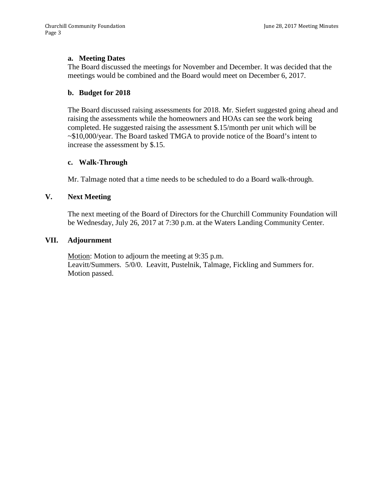## **a. Meeting Dates**

The Board discussed the meetings for November and December. It was decided that the meetings would be combined and the Board would meet on December 6, 2017.

## **b. Budget for 2018**

The Board discussed raising assessments for 2018. Mr. Siefert suggested going ahead and raising the assessments while the homeowners and HOAs can see the work being completed. He suggested raising the assessment \$.15/month per unit which will be ~\$10,000/year. The Board tasked TMGA to provide notice of the Board's intent to increase the assessment by \$.15.

#### **c. Walk-Through**

Mr. Talmage noted that a time needs to be scheduled to do a Board walk-through.

## **V. Next Meeting**

The next meeting of the Board of Directors for the Churchill Community Foundation will be Wednesday, July 26, 2017 at 7:30 p.m. at the Waters Landing Community Center.

#### **VII. Adjournment**

Motion: Motion to adjourn the meeting at 9:35 p.m. Leavitt/Summers. 5/0/0. Leavitt, Pustelnik, Talmage, Fickling and Summers for. Motion passed.